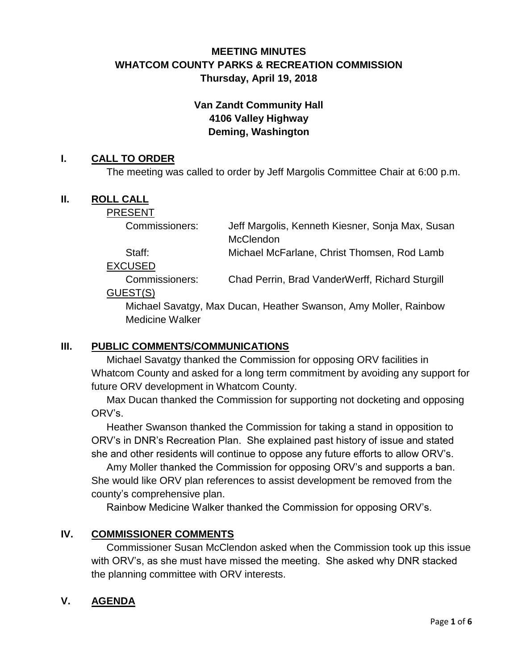# **MEETING MINUTES WHATCOM COUNTY PARKS & RECREATION COMMISSION Thursday, April 19, 2018**

# **Van Zandt Community Hall 4106 Valley Highway Deming, Washington**

## **I. CALL TO ORDER**

The meeting was called to order by Jeff Margolis Committee Chair at 6:00 p.m.

## **II. ROLL CALL**

#### PRESENT

| Commissioners: | Jeff Margolis, Kenneth Kiesner, Sonja Max, Susan |
|----------------|--------------------------------------------------|
|                | McClendon                                        |
| - -            |                                                  |

Staff: Michael McFarlane, Christ Thomsen, Rod Lamb

EXCUSED

Commissioners: Chad Perrin, Brad VanderWerff, Richard Sturgill GUEST(S)

Michael Savatgy, Max Ducan, Heather Swanson, Amy Moller, Rainbow Medicine Walker

#### **III. PUBLIC COMMENTS/COMMUNICATIONS**

Michael Savatgy thanked the Commission for opposing ORV facilities in Whatcom County and asked for a long term commitment by avoiding any support for future ORV development in Whatcom County.

Max Ducan thanked the Commission for supporting not docketing and opposing ORV's.

Heather Swanson thanked the Commission for taking a stand in opposition to ORV's in DNR's Recreation Plan. She explained past history of issue and stated she and other residents will continue to oppose any future efforts to allow ORV's.

Amy Moller thanked the Commission for opposing ORV's and supports a ban. She would like ORV plan references to assist development be removed from the county's comprehensive plan.

Rainbow Medicine Walker thanked the Commission for opposing ORV's.

## **IV. COMMISSIONER COMMENTS**

Commissioner Susan McClendon asked when the Commission took up this issue with ORV's, as she must have missed the meeting. She asked why DNR stacked the planning committee with ORV interests.

## **V. AGENDA**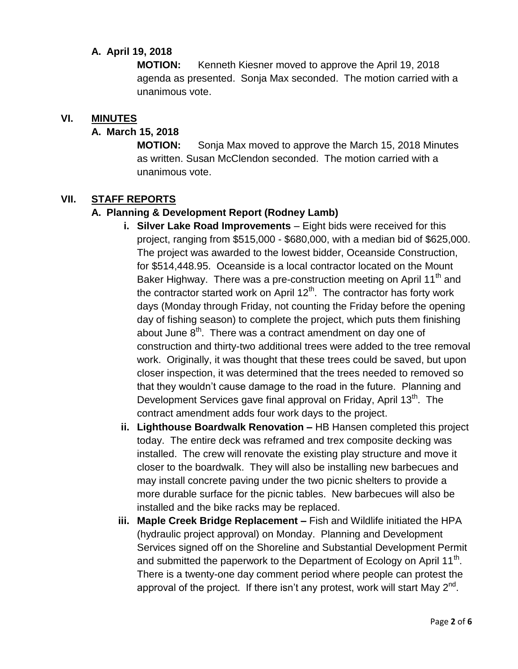## **A. April 19, 2018**

**MOTION:** Kenneth Kiesner moved to approve the April 19, 2018 agenda as presented. Sonja Max seconded. The motion carried with a unanimous vote.

#### **VI. MINUTES**

#### **A. March 15, 2018**

**MOTION:** Sonja Max moved to approve the March 15, 2018 Minutes as written. Susan McClendon seconded. The motion carried with a unanimous vote.

#### **VII. STAFF REPORTS**

#### **A. Planning & Development Report (Rodney Lamb)**

- **i.** Silver Lake Road Improvements Eight bids were received for this project, ranging from \$515,000 - \$680,000, with a median bid of \$625,000. The project was awarded to the lowest bidder, Oceanside Construction, for \$514,448.95. Oceanside is a local contractor located on the Mount Baker Highway. There was a pre-construction meeting on April 11<sup>th</sup> and the contractor started work on April  $12<sup>th</sup>$ . The contractor has forty work days (Monday through Friday, not counting the Friday before the opening day of fishing season) to complete the project, which puts them finishing about June  $8^{th}$ . There was a contract amendment on day one of construction and thirty-two additional trees were added to the tree removal work. Originally, it was thought that these trees could be saved, but upon closer inspection, it was determined that the trees needed to removed so that they wouldn't cause damage to the road in the future. Planning and Development Services gave final approval on Friday, April 13<sup>th</sup>. The contract amendment adds four work days to the project.
- **ii. Lighthouse Boardwalk Renovation –** HB Hansen completed this project today. The entire deck was reframed and trex composite decking was installed. The crew will renovate the existing play structure and move it closer to the boardwalk. They will also be installing new barbecues and may install concrete paving under the two picnic shelters to provide a more durable surface for the picnic tables. New barbecues will also be installed and the bike racks may be replaced.
- **iii. Maple Creek Bridge Replacement –** Fish and Wildlife initiated the HPA (hydraulic project approval) on Monday. Planning and Development Services signed off on the Shoreline and Substantial Development Permit and submitted the paperwork to the Department of Ecology on April 11<sup>th</sup>. There is a twenty-one day comment period where people can protest the approval of the project. If there isn't any protest, work will start May  $2^{nd}$ .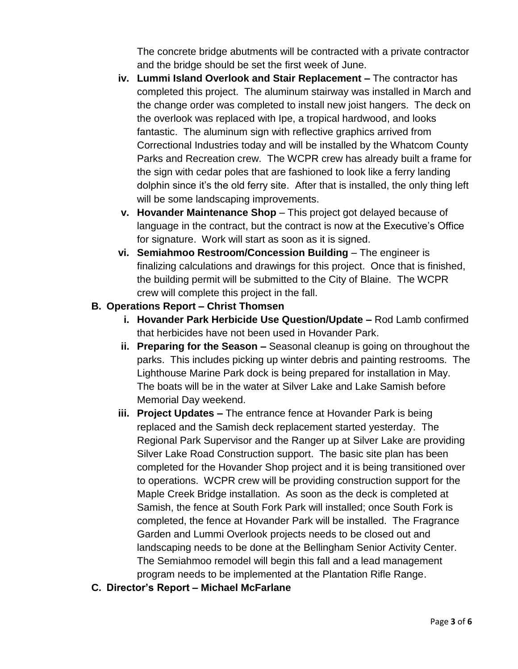The concrete bridge abutments will be contracted with a private contractor and the bridge should be set the first week of June.

- **iv. Lummi Island Overlook and Stair Replacement –** The contractor has completed this project. The aluminum stairway was installed in March and the change order was completed to install new joist hangers. The deck on the overlook was replaced with Ipe, a tropical hardwood, and looks fantastic. The aluminum sign with reflective graphics arrived from Correctional Industries today and will be installed by the Whatcom County Parks and Recreation crew. The WCPR crew has already built a frame for the sign with cedar poles that are fashioned to look like a ferry landing dolphin since it's the old ferry site. After that is installed, the only thing left will be some landscaping improvements.
- **v. Hovander Maintenance Shop**  This project got delayed because of language in the contract, but the contract is now at the Executive's Office for signature. Work will start as soon as it is signed.
- **vi.** Semiahmoo Restroom/Concession Building The engineer is finalizing calculations and drawings for this project. Once that is finished, the building permit will be submitted to the City of Blaine. The WCPR crew will complete this project in the fall.

## **B. Operations Report – Christ Thomsen**

- **i. Hovander Park Herbicide Use Question/Update –** Rod Lamb confirmed that herbicides have not been used in Hovander Park.
- **ii. Preparing for the Season –** Seasonal cleanup is going on throughout the parks. This includes picking up winter debris and painting restrooms. The Lighthouse Marine Park dock is being prepared for installation in May. The boats will be in the water at Silver Lake and Lake Samish before Memorial Day weekend.
- **iii. Project Updates –** The entrance fence at Hovander Park is being replaced and the Samish deck replacement started yesterday. The Regional Park Supervisor and the Ranger up at Silver Lake are providing Silver Lake Road Construction support. The basic site plan has been completed for the Hovander Shop project and it is being transitioned over to operations. WCPR crew will be providing construction support for the Maple Creek Bridge installation. As soon as the deck is completed at Samish, the fence at South Fork Park will installed; once South Fork is completed, the fence at Hovander Park will be installed. The Fragrance Garden and Lummi Overlook projects needs to be closed out and landscaping needs to be done at the Bellingham Senior Activity Center. The Semiahmoo remodel will begin this fall and a lead management program needs to be implemented at the Plantation Rifle Range.
- **C. Director's Report – Michael McFarlane**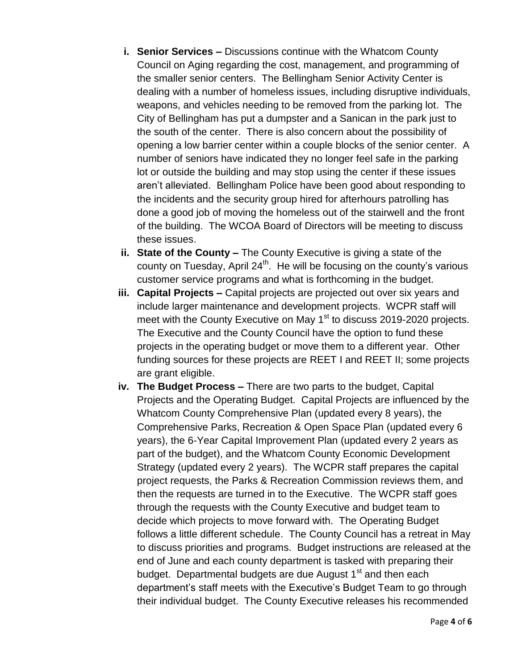- **i. Senior Services –** Discussions continue with the Whatcom County Council on Aging regarding the cost, management, and programming of the smaller senior centers. The Bellingham Senior Activity Center is dealing with a number of homeless issues, including disruptive individuals, weapons, and vehicles needing to be removed from the parking lot. The City of Bellingham has put a dumpster and a Sanican in the park just to the south of the center. There is also concern about the possibility of opening a low barrier center within a couple blocks of the senior center. A number of seniors have indicated they no longer feel safe in the parking lot or outside the building and may stop using the center if these issues aren't alleviated. Bellingham Police have been good about responding to the incidents and the security group hired for afterhours patrolling has done a good job of moving the homeless out of the stairwell and the front of the building. The WCOA Board of Directors will be meeting to discuss these issues.
- **ii. State of the County –** The County Executive is giving a state of the county on Tuesday, April  $24<sup>th</sup>$ . He will be focusing on the county's various customer service programs and what is forthcoming in the budget.
- **iii. Capital Projects –** Capital projects are projected out over six years and include larger maintenance and development projects. WCPR staff will meet with the County Executive on May 1<sup>st</sup> to discuss 2019-2020 projects. The Executive and the County Council have the option to fund these projects in the operating budget or move them to a different year. Other funding sources for these projects are REET I and REET II; some projects are grant eligible.
- **iv. The Budget Process –** There are two parts to the budget, Capital Projects and the Operating Budget. Capital Projects are influenced by the Whatcom County Comprehensive Plan (updated every 8 years), the Comprehensive Parks, Recreation & Open Space Plan (updated every 6 years), the 6-Year Capital Improvement Plan (updated every 2 years as part of the budget), and the Whatcom County Economic Development Strategy (updated every 2 years). The WCPR staff prepares the capital project requests, the Parks & Recreation Commission reviews them, and then the requests are turned in to the Executive. The WCPR staff goes through the requests with the County Executive and budget team to decide which projects to move forward with. The Operating Budget follows a little different schedule. The County Council has a retreat in May to discuss priorities and programs. Budget instructions are released at the end of June and each county department is tasked with preparing their budget. Departmental budgets are due August  $1<sup>st</sup>$  and then each department's staff meets with the Executive's Budget Team to go through their individual budget. The County Executive releases his recommended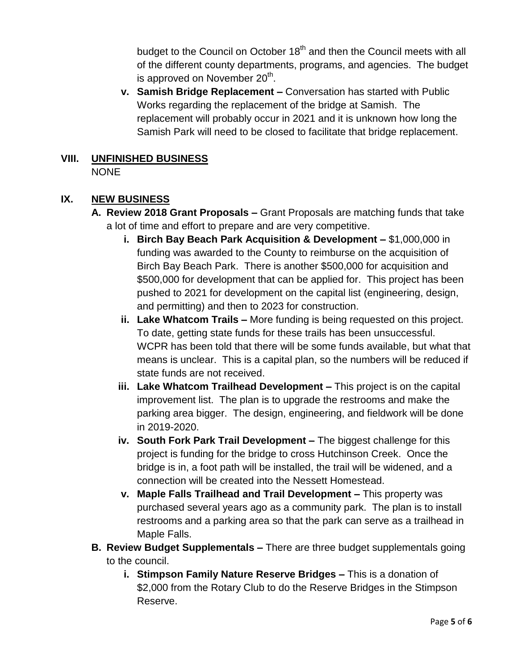budget to the Council on October  $18<sup>th</sup>$  and then the Council meets with all of the different county departments, programs, and agencies. The budget is approved on November 20<sup>th</sup>.

**v. Samish Bridge Replacement –** Conversation has started with Public Works regarding the replacement of the bridge at Samish. The replacement will probably occur in 2021 and it is unknown how long the Samish Park will need to be closed to facilitate that bridge replacement.

#### **VIII. UNFINISHED BUSINESS** NONE

# **IX. NEW BUSINESS**

- **A. Review 2018 Grant Proposals –** Grant Proposals are matching funds that take a lot of time and effort to prepare and are very competitive.
	- **i. Birch Bay Beach Park Acquisition & Development –** \$1,000,000 in funding was awarded to the County to reimburse on the acquisition of Birch Bay Beach Park. There is another \$500,000 for acquisition and \$500,000 for development that can be applied for. This project has been pushed to 2021 for development on the capital list (engineering, design, and permitting) and then to 2023 for construction.
	- **ii. Lake Whatcom Trails –** More funding is being requested on this project. To date, getting state funds for these trails has been unsuccessful. WCPR has been told that there will be some funds available, but what that means is unclear. This is a capital plan, so the numbers will be reduced if state funds are not received.
	- **iii. Lake Whatcom Trailhead Development –** This project is on the capital improvement list. The plan is to upgrade the restrooms and make the parking area bigger. The design, engineering, and fieldwork will be done in 2019-2020.
	- **iv. South Fork Park Trail Development –** The biggest challenge for this project is funding for the bridge to cross Hutchinson Creek. Once the bridge is in, a foot path will be installed, the trail will be widened, and a connection will be created into the Nessett Homestead.
	- **v. Maple Falls Trailhead and Trail Development –** This property was purchased several years ago as a community park. The plan is to install restrooms and a parking area so that the park can serve as a trailhead in Maple Falls.
- **B. Review Budget Supplementals –** There are three budget supplementals going to the council.
	- **i. Stimpson Family Nature Reserve Bridges –** This is a donation of \$2,000 from the Rotary Club to do the Reserve Bridges in the Stimpson Reserve.